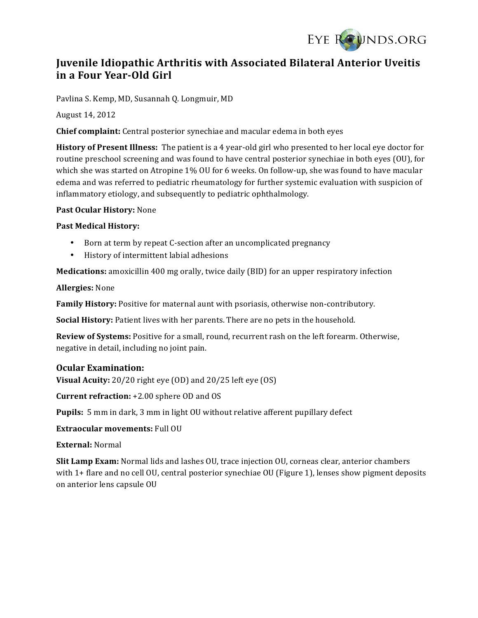

# **Juvenile Idiopathic Arthritis with Associated Bilateral Anterior Uveitis in a Four Year-Old Girl**

Pavlina S. Kemp, MD, Susannah Q. Longmuir, MD

August 14, 2012

**Chief complaint:** Central posterior synechiae and macular edema in both eyes

**History of Present Illness:** The patient is a 4 year-old girl who presented to her local eye doctor for routine preschool screening and was found to have central posterior synechiae in both eyes (OU), for which she was started on Atropine  $1\%$  OU for 6 weeks. On follow-up, she was found to have macular edema and was referred to pediatric rheumatology for further systemic evaluation with suspicion of inflammatory etiology, and subsequently to pediatric ophthalmology.

Past Ocular History: None

### **Past Medical History:**

- Born at term by repeat C-section after an uncomplicated pregnancy
- History of intermittent labial adhesions

**Medications:** amoxicillin 400 mg orally, twice daily (BID) for an upper respiratory infection

### **Allergies:** None

**Family History:** Positive for maternal aunt with psoriasis, otherwise non-contributory.

**Social History:** Patient lives with her parents. There are no pets in the household.

**Review of Systems:** Positive for a small, round, recurrent rash on the left forearm. Otherwise, negative in detail, including no joint pain.

## **Ocular Examination:**

**Visual Acuity:**  $20/20$  right eye  $(0D)$  and  $20/25$  left eye  $(0S)$ 

**Current refraction:** +2.00 sphere OD and OS

**Pupils:** 5 mm in dark, 3 mm in light OU without relative afferent pupillary defect

**Extraocular movements:** Full OU

**External:** Normal

**Slit Lamp Exam:** Normal lids and lashes OU, trace injection OU, corneas clear, anterior chambers with 1+ flare and no cell OU, central posterior synechiae OU (Figure 1), lenses show pigment deposits on anterior lens capsule OU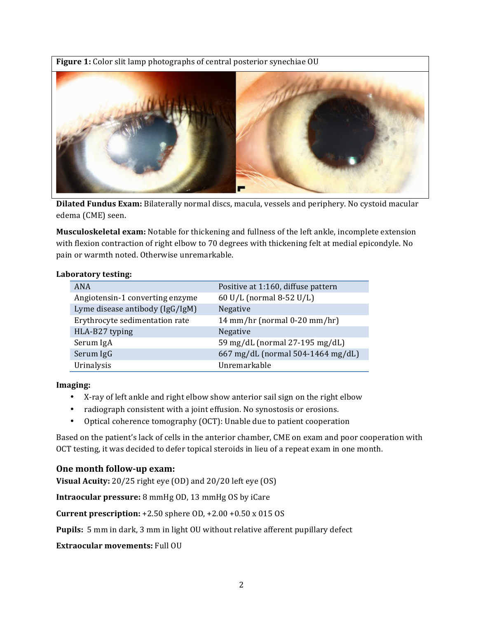**Figure 1:** Color slit lamp photographs of central posterior synechiae OU



**Dilated Fundus Exam:** Bilaterally normal discs, macula, vessels and periphery. No cystoid macular edema (CME) seen.

**Musculoskeletal exam:** Notable for thickening and fullness of the left ankle, incomplete extension with flexion contraction of right elbow to 70 degrees with thickening felt at medial epicondyle. No pain or warmth noted. Otherwise unremarkable.

#### **Laboratory testing:**

| ANA                             | Positive at 1:160, diffuse pattern |
|---------------------------------|------------------------------------|
| Angiotensin-1 converting enzyme | 60 U/L (normal 8-52 U/L)           |
| Lyme disease antibody (IgG/IgM) | Negative                           |
| Erythrocyte sedimentation rate  | 14 mm/hr (normal $0-20$ mm/hr)     |
| HLA-B27 typing                  | Negative                           |
| Serum IgA                       | 59 mg/dL (normal 27-195 mg/dL)     |
| Serum IgG                       | 667 mg/dL (normal 504-1464 mg/dL)  |
| Urinalysis                      | Unremarkable                       |

**Imaging:**

- X-ray of left ankle and right elbow show anterior sail sign on the right elbow
- radiograph consistent with a joint effusion. No synostosis or erosions.
- Optical coherence tomography (OCT): Unable due to patient cooperation

Based on the patient's lack of cells in the anterior chamber, CME on exam and poor cooperation with OCT testing, it was decided to defer topical steroids in lieu of a repeat exam in one month.

## **One month follow-up exam:**

**Visual Acuity:** 20/25 right eye (OD) and 20/20 left eye (OS)

**Intraocular pressure:** 8 mmHg OD, 13 mmHg OS by iCare

**Current prescription:**  $+2.50$  sphere  $OD, +2.00 +0.50 \times 015$  OS

**Pupils:** 5 mm in dark, 3 mm in light OU without relative afferent pupillary defect

**Extraocular movements:** Full OU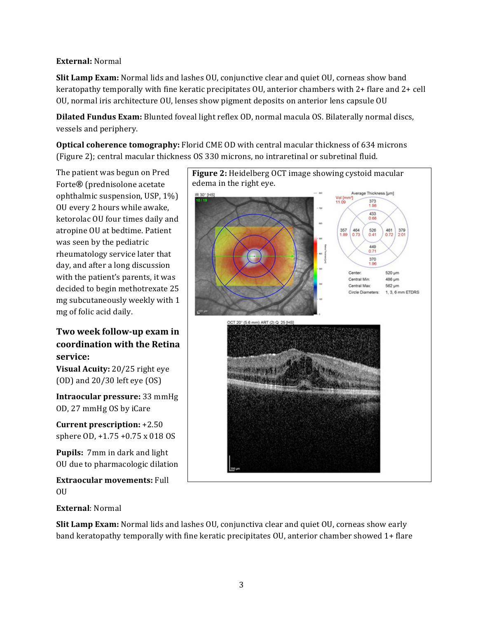## **External:** Normal

**Slit Lamp Exam:** Normal lids and lashes OU, conjunctive clear and quiet OU, corneas show band keratopathy temporally with fine keratic precipitates  $O<sub>U</sub>$ , anterior chambers with 2+ flare and 2+ cell OU, normal iris architecture OU, lenses show pigment deposits on anterior lens capsule OU

**Dilated Fundus Exam:** Blunted foveal light reflex OD, normal macula OS. Bilaterally normal discs, vessels and periphery.

**Optical coherence tomography:** Florid CME OD with central macular thickness of 634 microns (Figure 2); central macular thickness OS 330 microns, no intraretinal or subretinal fluid.

The patient was begun on Pred Forte<sup>®</sup> (prednisolone acetate ophthalmic suspension, USP,  $1\%$ ) OU every 2 hours while awake, ketorolac OU four times daily and atropine OU at bedtime. Patient was seen by the pediatric rheumatology service later that day, and after a long discussion with the patient's parents, it was decided to begin methotrexate 25 mg subcutaneously weekly with 1 mg of folic acid daily.

Two week follow-up exam in **coordination with the Retina service:**

**Visual Acuity:** 20/25 right eye  $(OD)$  and  $20/30$  left eye  $(OS)$ 

**Intraocular pressure:** 33 mmHg OD, 27 mmHg OS by iCare

**Current prescription: +2.50** sphere  $OD, +1.75 +0.75 \times 018 OS$ 

**Pupils:** 7mm in dark and light OU due to pharmacologic dilation

**Extraocular movements: Full** OU



## **External**: Normal

**Slit Lamp Exam:** Normal lids and lashes OU, conjunctiva clear and quiet OU, corneas show early band keratopathy temporally with fine keratic precipitates OU, anterior chamber showed 1+ flare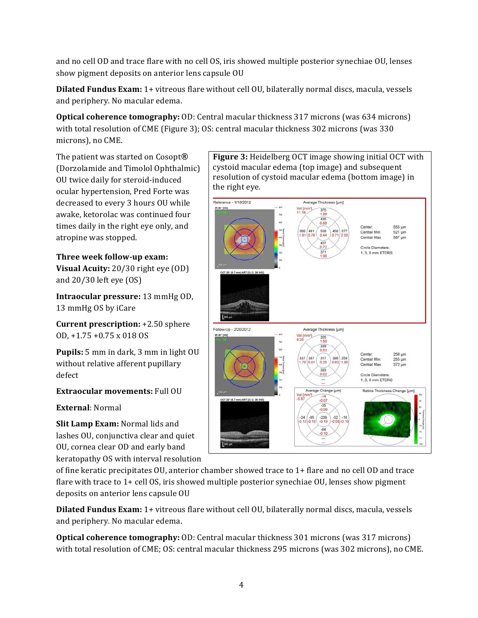and no cell OD and trace flare with no cell OS, iris showed multiple posterior synechiae OU, lenses show pigment deposits on anterior lens capsule OU

**Dilated Fundus Exam:** 1+ vitreous flare without cell OU, bilaterally normal discs, macula, vessels and periphery. No macular edema.

**Optical coherence tomography:** OD: Central macular thickness 317 microns (was 634 microns) with total resolution of CME (Figure 3); OS: central macular thickness 302 microns (was 330 microns), no CME.

The patient was started on Cosopt<sup>®</sup> (Dorzolamide and Timolol Ophthalmic) OU twice daily for steroid-induced ocular hypertension, Pred Forte was decreased to every 3 hours OU while awake, ketorolac was continued four times daily in the right eye only, and atropine was stopped.

# **Three week follow-up exam:**

**Visual Acuity:** 20/30 right eye (OD) and  $20/30$  left eye  $(0S)$ 

**Intraocular pressure:** 13 mmHg OD, 13 mmHg OS by iCare

**Current prescription:** +2.50 sphere OD, +1.75 +0.75 x 018 OS

**Pupils:** 5 mm in dark, 3 mm in light OU without relative afferent pupillary defect

## **Extraocular movements:** Full OU

## **External**: Normal

**Slit Lamp Exam:** Normal lids and lashes OU, conjunctiva clear and quiet OU, cornea clear OD and early band keratopathy OS with interval resolution

**Figure 3:** Heidelberg OCT image showing initial OCT with cystoid macular edema (top image) and subsequent resolution of cystoid macular edema (bottom image) in the right eve.



of fine keratic precipitates  $O$ U, anterior chamber showed trace to  $1+$  flare and no cell OD and trace flare with trace to  $1+$  cell OS, iris showed multiple posterior synechiae OU, lenses show pigment deposits on anterior lens capsule OU

**Dilated Fundus Exam:** 1+ vitreous flare without cell OU, bilaterally normal discs, macula, vessels and periphery. No macular edema.

**Optical coherence tomography:** OD: Central macular thickness 301 microns (was 317 microns) with total resolution of CME; OS: central macular thickness 295 microns (was 302 microns), no CME.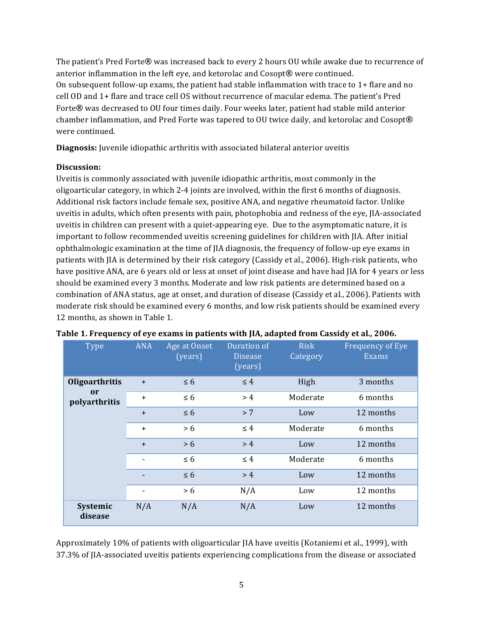The patient's Pred Forte<sup>®</sup> was increased back to every 2 hours OU while awake due to recurrence of anterior inflammation in the left eye, and ketorolac and Cosopt<sup>®</sup> were continued. On subsequent follow-up exams, the patient had stable inflammation with trace to  $1+$  flare and no cell OD and 1+ flare and trace cell OS without recurrence of macular edema. The patient's Pred Forte<sup>®</sup> was decreased to OU four times daily. Four weeks later, patient had stable mild anterior chamber inflammation, and Pred Forte was tapered to OU twice daily, and ketorolac and Cosopt<sup>®</sup> were continued.

**Diagnosis:** Juvenile idiopathic arthritis with associated bilateral anterior uveitis

# **Discussion:**

Uveitis is commonly associated with juvenile idiopathic arthritis, most commonly in the oligoarticular category, in which  $2-4$  joints are involved, within the first  $6$  months of diagnosis. Additional risk factors include female sex, positive ANA, and negative rheumatoid factor. Unlike uveitis in adults, which often presents with pain, photophobia and redness of the eye, JIA-associated uveitis in children can present with a quiet-appearing eye. Due to the asymptomatic nature, it is important to follow recommended uveitis screening guidelines for children with IIA. After initial ophthalmologic examination at the time of JIA diagnosis, the frequency of follow-up eye exams in patients with JIA is determined by their risk category (Cassidy et al., 2006). High-risk patients, who have positive ANA, are 6 years old or less at onset of joint disease and have had JIA for 4 years or less should be examined every 3 months. Moderate and low risk patients are determined based on a combination of ANA status, age at onset, and duration of disease (Cassidy et al., 2006). Patients with moderate risk should be examined every 6 months, and low risk patients should be examined every 12 months, as shown in Table 1.

| <b>Type</b>                                      | <b>ANA</b>     | Age at Onset<br>(years) | Duration of<br><b>Disease</b><br>(years) | <b>Risk</b><br>Category | Frequency of Eye<br><b>Exams</b> |
|--------------------------------------------------|----------------|-------------------------|------------------------------------------|-------------------------|----------------------------------|
| Oligoarthritis<br><sub>or</sub><br>polyarthritis | $+$            | $\leq 6$                | $\leq 4$                                 | High                    | 3 months                         |
|                                                  | $\ddot{}$      | $\leq 6$                | >4                                       | Moderate                | 6 months                         |
|                                                  | $+$            | $\leq 6$                | > 7                                      | Low                     | 12 months                        |
|                                                  | $+$            | > 6                     | $\leq 4$                                 | Moderate                | 6 months                         |
|                                                  | $+$            | > 6                     | > 4                                      | Low                     | 12 months                        |
|                                                  | ٠              | $\leq 6$                | $\leq 4$                                 | Moderate                | 6 months                         |
|                                                  | $\blacksquare$ | $\leq 6$                | > 4                                      | Low                     | 12 months                        |
|                                                  | ٠              | > 6                     | N/A                                      | Low                     | 12 months                        |
| Systemic<br>disease                              | N/A            | N/A                     | N/A                                      | Low                     | 12 months                        |

### Table 1. Frequency of eye exams in patients with JIA, adapted from Cassidy et al., 2006.

Approximately 10% of patients with oligoarticular IIA have uveitis (Kotaniemi et al., 1999), with 37.3% of JIA-associated uveitis patients experiencing complications from the disease or associated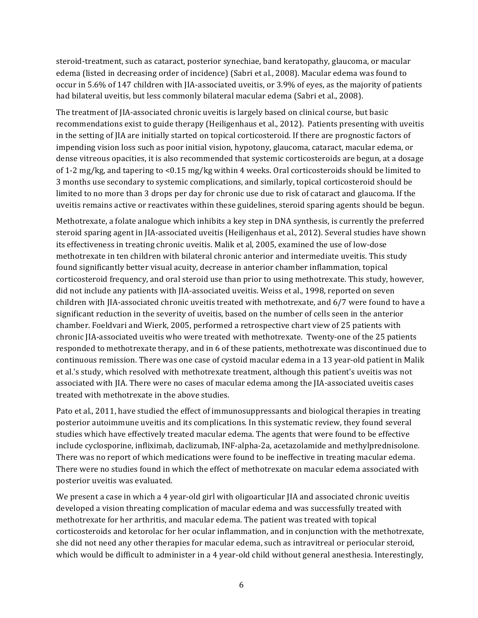steroid-treatment, such as cataract, posterior synechiae, band keratopathy, glaucoma, or macular edema (listed in decreasing order of incidence) (Sabri et al., 2008). Macular edema was found to occur in 5.6% of 147 children with JIA-associated uveitis, or 3.9% of eyes, as the majority of patients had bilateral uveitis, but less commonly bilateral macular edema (Sabri et al., 2008).

The treatment of JIA-associated chronic uveitis is largely based on clinical course, but basic recommendations exist to guide therapy (Heiligenhaus et al., 2012). Patients presenting with uveitis in the setting of JIA are initially started on topical corticosteroid. If there are prognostic factors of impending vision loss such as poor initial vision, hypotony, glaucoma, cataract, macular edema, or dense vitreous opacities, it is also recommended that systemic corticosteroids are begun, at a dosage of 1-2 mg/kg, and tapering to  $\lt 0.15$  mg/kg within 4 weeks. Oral corticosteroids should be limited to 3 months use secondary to systemic complications, and similarly, topical corticosteroid should be limited to no more than 3 drops per day for chronic use due to risk of cataract and glaucoma. If the uveitis remains active or reactivates within these guidelines, steroid sparing agents should be begun.

Methotrexate, a folate analogue which inhibits a key step in DNA synthesis, is currently the preferred steroid sparing agent in JIA-associated uveitis (Heiligenhaus et al., 2012). Several studies have shown its effectiveness in treating chronic uveitis. Malik et al, 2005, examined the use of low-dose methotrexate in ten children with bilateral chronic anterior and intermediate uveitis. This study found significantly better visual acuity, decrease in anterior chamber inflammation, topical corticosteroid frequency, and oral steroid use than prior to using methotrexate. This study, however, did not include any patients with JIA-associated uveitis. Weiss et al., 1998, reported on seven children with IIA-associated chronic uveitis treated with methotrexate, and  $6/7$  were found to have a significant reduction in the severity of uveitis, based on the number of cells seen in the anterior chamber. Foeldvari and Wierk, 2005, performed a retrospective chart view of 25 patients with chronic JIA-associated uveitis who were treated with methotrexate. Twenty-one of the 25 patients responded to methotrexate therapy, and in 6 of these patients, methotrexate was discontinued due to continuous remission. There was one case of cystoid macular edema in a 13 year-old patient in Malik et al.'s study, which resolved with methotrexate treatment, although this patient's uveitis was not associated with JIA. There were no cases of macular edema among the JIA-associated uveitis cases treated with methotrexate in the above studies.

Pato et al., 2011, have studied the effect of immunosuppressants and biological therapies in treating posterior autoimmune uveitis and its complications. In this systematic review, they found several studies which have effectively treated macular edema. The agents that were found to be effective include cyclosporine, infliximab, daclizumab, INF-alpha-2a, acetazolamide and methylprednisolone. There was no report of which medications were found to be ineffective in treating macular edema. There were no studies found in which the effect of methotrexate on macular edema associated with posterior uveitis was evaluated.

We present a case in which a 4 year-old girl with oligoarticular JIA and associated chronic uveitis developed a vision threating complication of macular edema and was successfully treated with methotrexate for her arthritis, and macular edema. The patient was treated with topical corticosteroids and ketorolac for her ocular inflammation, and in conjunction with the methotrexate, she did not need any other therapies for macular edema, such as intravitreal or periocular steroid, which would be difficult to administer in a 4 year-old child without general anesthesia. Interestingly,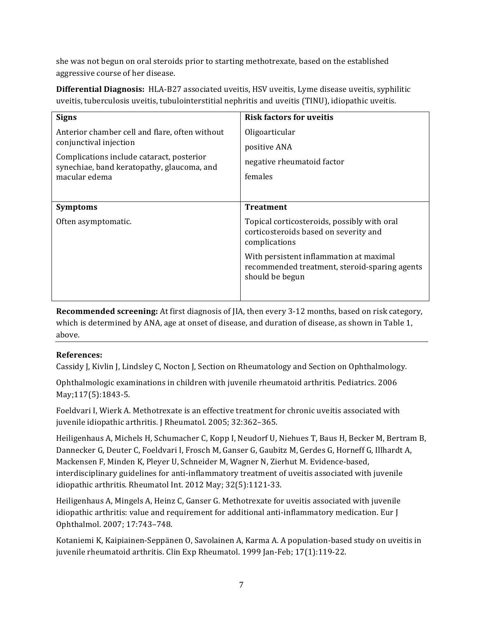she was not begun on oral steroids prior to starting methotrexate, based on the established aggressive course of her disease.

**Differential Diagnosis:** HLA-B27 associated uveitis, HSV uveitis, Lyme disease uveitis, syphilitic uveitis, tuberculosis uveitis, tubulointerstitial nephritis and uveitis (TINU), idiopathic uveitis.

| <b>Signs</b>                                                                                                                                                                         | <b>Risk factors for uveitis</b>                                                                             |  |  |
|--------------------------------------------------------------------------------------------------------------------------------------------------------------------------------------|-------------------------------------------------------------------------------------------------------------|--|--|
| Anterior chamber cell and flare, often without<br>conjunctival injection<br>Complications include cataract, posterior<br>synechiae, band keratopathy, glaucoma, and<br>macular edema | Oligoarticular<br>positive ANA<br>negative rheumatoid factor<br>females                                     |  |  |
| <b>Symptoms</b>                                                                                                                                                                      | <b>Treatment</b>                                                                                            |  |  |
| Often asymptomatic.                                                                                                                                                                  | Topical corticosteroids, possibly with oral<br>corticosteroids based on severity and<br>complications       |  |  |
|                                                                                                                                                                                      | With persistent inflammation at maximal<br>recommended treatment, steroid-sparing agents<br>should be begun |  |  |
|                                                                                                                                                                                      |                                                                                                             |  |  |

**Recommended screening:** At first diagnosis of JIA, then every 3-12 months, based on risk category, which is determined by ANA, age at onset of disease, and duration of disease, as shown in Table 1, above. 

# **References:**

Cassidy J, Kivlin J, Lindsley C, Nocton J, Section on Rheumatology and Section on Ophthalmology.

Ophthalmologic examinations in children with juvenile rheumatoid arthritis. Pediatrics. 2006 May;117(5):1843-5.

Foeldvari I, Wierk A. Methotrexate is an effective treatment for chronic uveitis associated with juvenile idiopathic arthritis. J Rheumatol. 2005; 32:362-365.

Heiligenhaus A, Michels H, Schumacher C, Kopp I, Neudorf U, Niehues T, Baus H, Becker M, Bertram B, Dannecker G, Deuter C, Foeldvari I, Frosch M, Ganser G, Gaubitz M, Gerdes G, Horneff G, Illhardt A, Mackensen F, Minden K, Pleyer U, Schneider M, Wagner N, Zierhut M. Evidence-based, interdisciplinary guidelines for anti-inflammatory treatment of uveitis associated with juvenile idiopathic arthritis. Rheumatol Int. 2012 May; 32(5):1121-33.

Heiligenhaus A, Mingels A, Heinz C, Ganser G. Methotrexate for uveitis associated with juvenile idiopathic arthritis: value and requirement for additional anti-inflammatory medication. Eur J Ophthalmol. 2007; 17:743–748.

Kotaniemi K, Kaipiainen-Seppänen O, Savolainen A, Karma A. A population-based study on uveitis in juvenile rheumatoid arthritis. Clin Exp Rheumatol. 1999 Jan-Feb; 17(1):119-22.